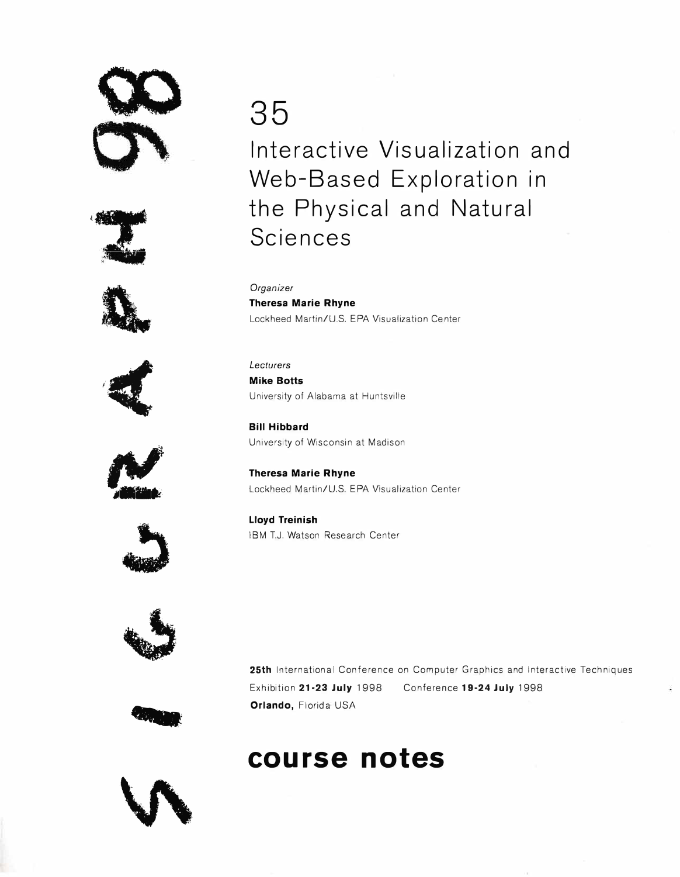# **Q;)** '











## **35 Interactive Visualization and Web-Based Exploration in the Physical and Natural Sciences**

*Organizer*  **Theresa Marie Rhyne**  Lockheed Martin/U.S. EPA Visualization Center

*Lecturers*  **Mike Botts**  University of Alabama at Huntsville

**Bill Hibbard**  University of Wisconsin at Madison

**Theresa Marie Rhyne**  Lockheed Martin/U.S. EPA Visualization Center

**Lloyd Treinish**  IBM T.J. Watson Research Center



**25th** International Conference on Computer Graphics and Interactive Techniques Exhibition **21 ·23 July** 1998 Conference **19-24 July** 1998 **Orlando,** Florida USA

### **course notes**



--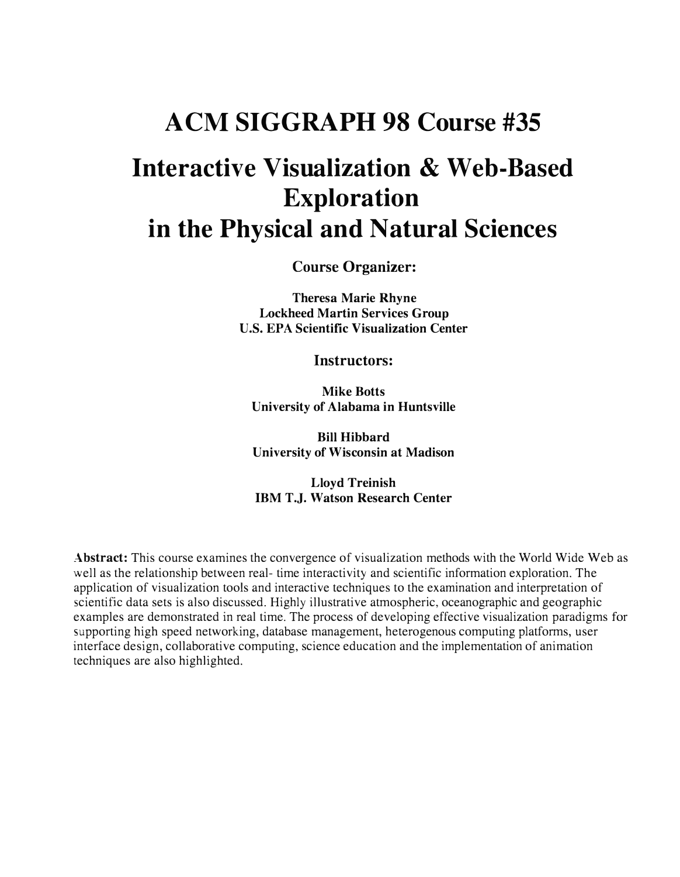## **ACM SIGGRAPH 98 Course #35 Interactive Visualization & Web-Based Exploration in the Physical and Natural Sciences**

**Course Organizer:** 

**Theresa Marie Rhyne Lockheed Martin Services Group U.S. EPA Scientific Visualization Center** 

**Instructors:** 

**Mike Botts University of Alabama in Huntsville** 

**Bill Hibbard University of Wisconsin at Madison** 

**Lloyd Treinish IBM T.J. Watson Research Center** 

**Abstract:** This course examines the convergence of visualization methods with the World Wide Web as well as the relationship between real- time interactivity and scientific information exploration. The application of visualization tools and interactive techniques to the examination and interpretation of scientific data sets is also discussed. Highly illustrative atmospheric, oceanographic and geographic examples are demonstrated in real time. The process of developing effective visualization paradigms for supporting high speed networking, database management, heterogenous computing platforms, user interface design, collaborative computing, science education and the implementation of animation techniques are also highlighted.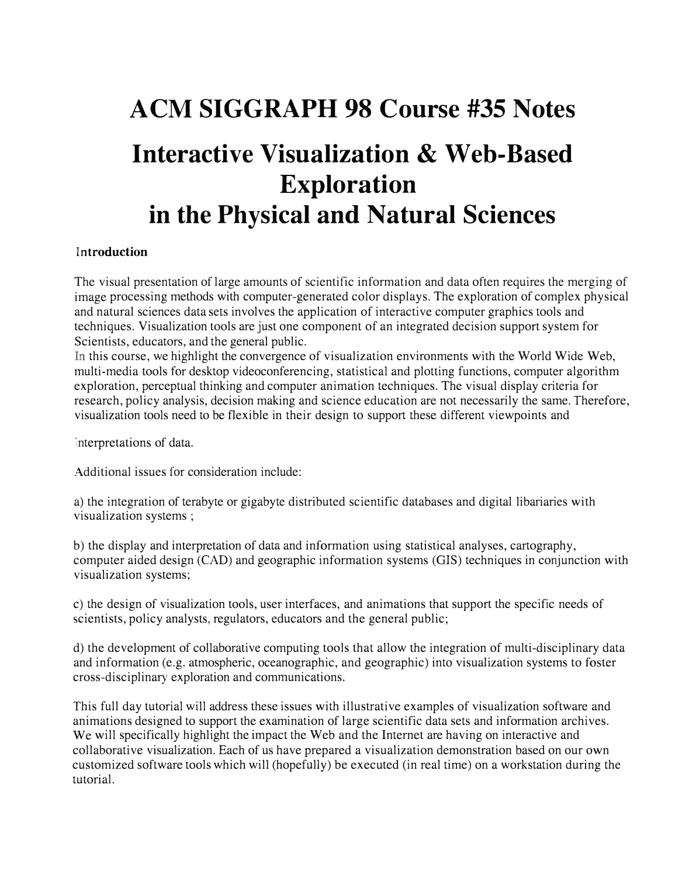## **ACM SIGGRAPH 98 Course #35 Notes Interactive Visualization & Web-Based Exploration in the Physical and Natural Sciences**

#### **Introduction**

The visual presentation of large amounts of scientific information and data often requires the merging of image processing methods with computer-generated color displays. The exploration of complex physical and natural sciences data sets involves the application of interactive computer graphics tools and techniques. Visualization tools are just one component of an integrated decision support system for Scientists, educators, and the general public.

�. this course, we highlight the convergence of visualization environments with the World Wide Web, multi-media tools for desktop videoconferencing, statistical and plotting functions, computer algorithm exploration, perceptual thinking and computer animation techniques. The visual display criteria for research, policy analysis, decision making and science education are not necessarily the same. Therefore, visualization tools need to be flexible in their design to support these different viewpoints and

interpretations of data.

Additional issues for consideration include:

a) the integration of terabyte or gigabyte distributed scientific databases and digital libariaries with visualization systems ;

b) the display and interpretation of data and information using statistical analyses, cartography, computer aided design (CAD) and geographic information systems (GIS) techniques in conjunction with visualization systems;

c) the design of visualization tools, user interfaces, and animations that support the specific needs of scientists, policy analysts, regulators, educators and the general public;

d) the development of collaborative computing tools that allow the integration of multi-disciplinary data and information (e.g. atmospheric, oceanographic, and geographic) into visualization systems to foster cross-disciplinary exploration and communications.

This full day tutorial will address these issues with illustrative examples of visualization software and animations designed to support the examination of large scientific data sets and information archives. We will specifically highlight the impact the Web and the Internet are having on interactive and collaborative visualization. Each of us have prepared a visualization demonstration based on our own customized software tools which will (hopefully) be executed (in real time) on a workstation during the tutorial.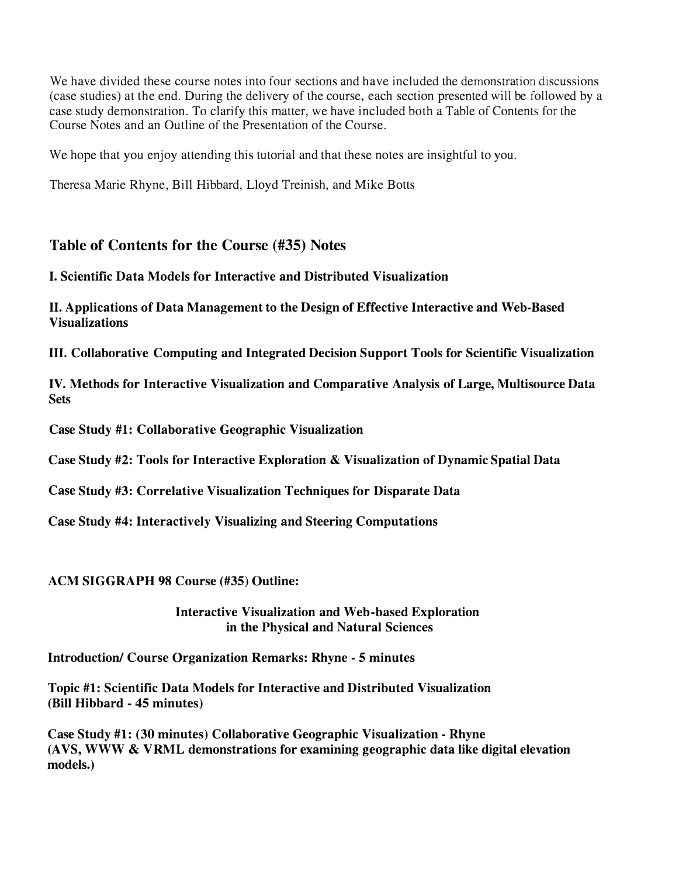We have divided these course notes into four sections and have included the demonstration discussions (case studies) at the end. During the delivery of the course, each section presented will be followed by a case study demonstration. To clarify this matter, we have included both a Table of Contents for the Course Notes and an Outline of the Presentation of the Course.

We hope that you enjoy attending this tutorial and that these notes are insightful to you.

Theresa Marie Rhyne, Bill Hibbard, Lloyd Treinish, and Mike Botts

#### **Table of Contents for the Course (#35) Notes**

#### **I. Scientific Data Models for Interactive and Distributed Visualization**

**II. Applications of Data Management to the Design of Effective Interactive and Web-Based Visualizations**

**III. Collaborative Computing and Integrated Decision Support Tools for Scientific Visualization**

**IV. Methods for Interactive Visualization and Comparative Analysis of Large, Multisource Data Sets**

**Case Study #1: Collaborative Geographic Visualization** 

**Case Study #2: Tools for Interactive Exploration** & **Visualization of Dynamic Spatial Data** 

**Case Study #3: Correlative Visualization Techniques for Disparate Data** 

**Case Study #4: Interactively Visualizing and Steering Computations** 

**ACM SIGGRAPH 98 Course (#35) Outline:** 

**Interactive Visualization and Web-based Exploration in the Physical and Natural Sciences** 

**Introduction/ Course Organization Remarks: Rhyne - 5 minutes** 

**Topic #1: Scientific Data Models for Interactive and Distributed Visualization (Bill Hibbard - 45 minutes)** 

**Case Study #1: (30 minutes) Collaborative Geographic Visualization - Rhyne (A VS, WWW & VRML demonstrations for examining geographic data like digital elevation models.)**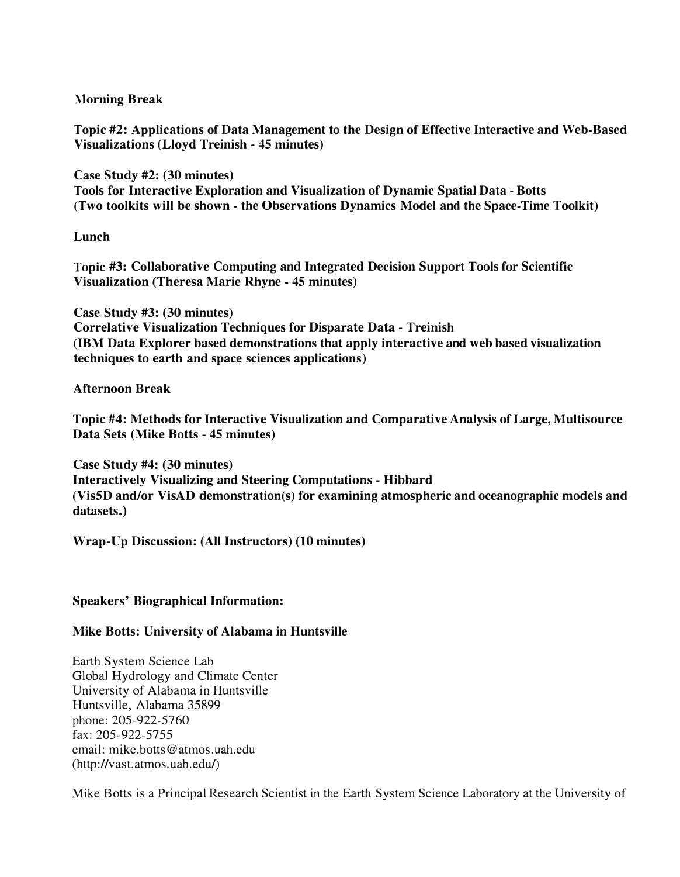**Morning Break** 

**Topic #2: Applications of Data Management to the Design of Effective Interactive and Web-Based Visualizations (Lloyd Treinish - 45 minutes)** 

**Case Study #2: (30 minutes) Tools for Interactive Exploration and Visualization of Dynamic Spatial Data - Botts (Two toolkits will be shown - the Observations Dynamics Model and the Space-Time Toolkit)** 

#### **Lunch**

**Topic #3: Collaborative Computing and Integrated Decision Support Tools for Scientific Visualization (Theresa Marie Rhyne - 45 minutes)** 

**Case Study #3: (30 minutes) Correlative Visualization Techniques for Disparate Data - Treinish (IBM Data Explorer based demonstrations that apply interactive and web based visualization techniques to earth and space sciences applications)** 

#### **Afternoon Break**

**Topic #4: Methods for Interactive Visualization and Comparative Analysis of Large, Multisource Data Sets (Mike Botts - 45 minutes)** 

**Case Study #4: (30 minutes) Interactively Visualizing and Steering Computations - Hibbard (Vis5D and/or VisAD demonstration(s) for examining atmospheric and oceanographic models and datasets.)** 

**Wrap-Up Discussion: (All Instructors) (10 minutes)** 

#### **Speakers' Biographical Information:**

#### **Mike Botts: University of Alabama in Huntsville**

Earth System Science Lab Global Hydrology and Climate Center University of Alabama in Huntsville Huntsville, Alabama 35899 phone: 205-922-5760 fax: 205-922-5755 email: mike.botts@atmos.uah.edu (http://vast.atmos.uah.edu/)

Mike Botts is a Principal Research Scientist in the Earth System Science Laboratory at the University of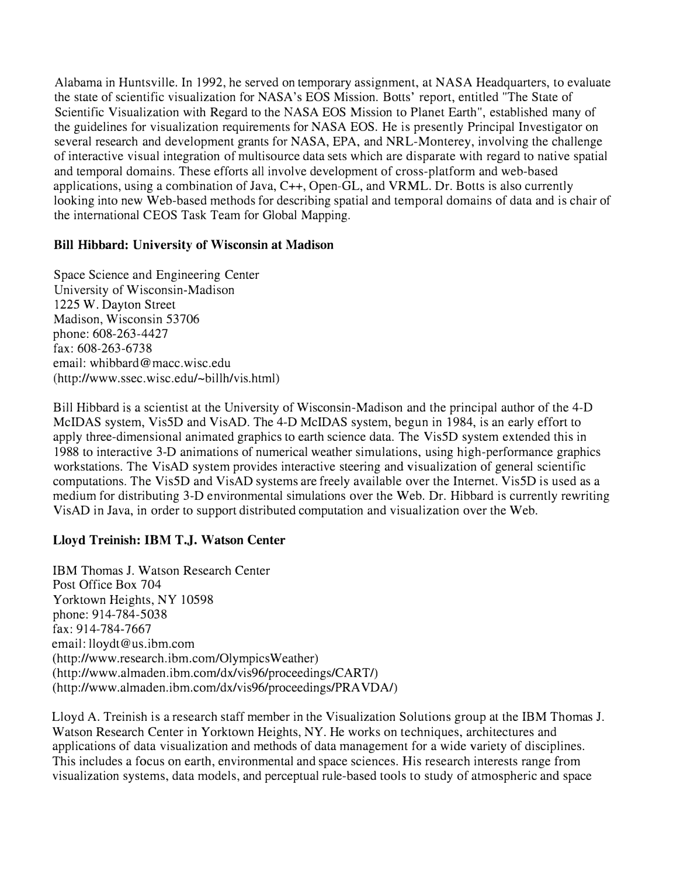Alabama in Huntsville. In 1992, he served on temporary assignment, at NASA Headquarters, to evaluate the state of scientific visualization for NASA's EOS Mission. Botts' report, entitled "The State of Scientific Visualization with Regard to the NASA EOS Mission to Planet Earth", established many of the guidelines for visualization requirements for NASA EOS. He is presently Principal Investigator on several research and development grants for NASA, EPA, and NRL-Monterey, involving the challenge of interactive visual integration of multisource data sets which are disparate with regard to native spatial and temporal domains. These efforts all involve development of cross-platform and web-based applications, using a combination of Java, C++, Open-GL, and VRML. Dr. Botts is also currently looking into new Web-based methods for describing spatial and temporal domains of data and is chair of the international CEOS Task Team for Global Mapping.

#### **Bill Hibbard: University of Wisconsin at Madison**

Space Science and Engineering Center University of Wisconsin-Madison 1225 W. Dayton Street Madison, Wisconsin 53706 phone: 608-263-4427 fax: 608-263-6738 email: whibbard@macc.wisc.edu (http://www.ssec.wisc.edu/~billh/vis.html)

Bill Hibbard is a scientist at the University of Wisconsin-Madison and the principal author of the 4-D McIDAS system, Vis5D and VisAD. The 4-D McIDAS system, begun in 1984, is an early effort to apply three-dimensional animated graphics to earth science data. The Vis5D system extended this in 1988 to interactive 3-D animations of numerical weather simulations, using high-performance graphics workstations. The VisAD system provides interactive steering and visualization of general scientific computations. The Vis5D and VisAD systems are freely available over the Internet. Vis5D is used as a medium for distributing 3-D environmental simulations over the Web. Dr. Hibbard is currently rewriting VisAD in Java, in order to support distributed computation and visualization over the Web.

#### **Lloyd Treinish: IBM T.J. Watson Center**

IBM Thomas J. Watson Research Center Post Office Box 704 Yorktown Heights, NY 10598 phone: 914-784-5038 fax: 914-784-7667 email: lloydt@us.ibm.com (http://www.research.ibm.com/OlympicsWeather) (http://www.almaden.ibm.com/dx/vis96/proceedings/CART/) (http://www.almaden.ibm.com/dx/vis96/proceedings/PRAVDA/)

Lloyd A. Treinish is a research staff member in the Visualization Solutions group at the IBM Thomas J. Watson Research Center in Yorktown Heights, NY. He works on techniques, architectures and applications of data visualization and methods of data management for a wide variety of disciplines. This includes a focus on earth, environmental and space sciences. His research interests range from visualization systems, data models, and perceptual rule-based tools to study of atmospheric and space